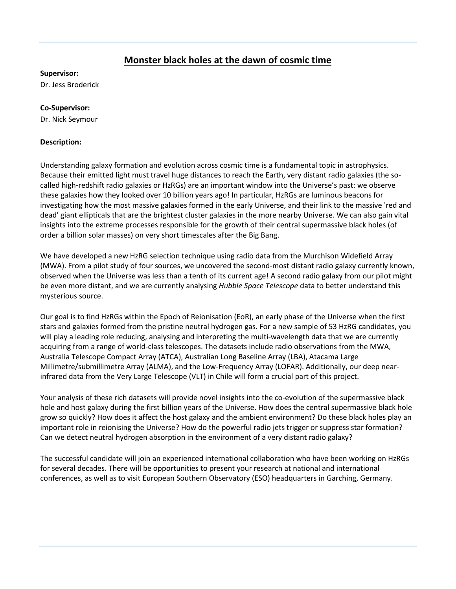## **Monster black holes at the dawn of cosmic time**

## **Supervisor:**

Dr. Jess Broderick

## **Co-Supervisor:**

Dr. Nick Seymour

## **Description:**

Understanding galaxy formation and evolution across cosmic time is a fundamental topic in astrophysics. Because their emitted light must travel huge distances to reach the Earth, very distant radio galaxies (the socalled high-redshift radio galaxies or HzRGs) are an important window into the Universe's past: we observe these galaxies how they looked over 10 billion years ago! In particular, HzRGs are luminous beacons for investigating how the most massive galaxies formed in the early Universe, and their link to the massive 'red and dead' giant ellipticals that are the brightest cluster galaxies in the more nearby Universe. We can also gain vital insights into the extreme processes responsible for the growth of their central supermassive black holes (of order a billion solar masses) on very short timescales after the Big Bang.

We have developed a new HzRG selection technique using radio data from the Murchison Widefield Array (MWA). From a pilot study of four sources, we uncovered the second-most distant radio galaxy currently known, observed when the Universe was less than a tenth of its current age! A second radio galaxy from our pilot might be even more distant, and we are currently analysing *Hubble Space Telescope* data to better understand this mysterious source.

Our goal is to find HzRGs within the Epoch of Reionisation (EoR), an early phase of the Universe when the first stars and galaxies formed from the pristine neutral hydrogen gas. For a new sample of 53 HzRG candidates, you will play a leading role reducing, analysing and interpreting the multi-wavelength data that we are currently acquiring from a range of world-class telescopes. The datasets include radio observations from the MWA, Australia Telescope Compact Array (ATCA), Australian Long Baseline Array (LBA), Atacama Large Millimetre/submillimetre Array (ALMA), and the Low-Frequency Array (LOFAR). Additionally, our deep nearinfrared data from the Very Large Telescope (VLT) in Chile will form a crucial part of this project.

Your analysis of these rich datasets will provide novel insights into the co-evolution of the supermassive black hole and host galaxy during the first billion years of the Universe. How does the central supermassive black hole grow so quickly? How does it affect the host galaxy and the ambient environment? Do these black holes play an important role in reionising the Universe? How do the powerful radio jets trigger or suppress star formation? Can we detect neutral hydrogen absorption in the environment of a very distant radio galaxy?

The successful candidate will join an experienced international collaboration who have been working on HzRGs for several decades. There will be opportunities to present your research at national and international conferences, as well as to visit European Southern Observatory (ESO) headquarters in Garching, Germany.